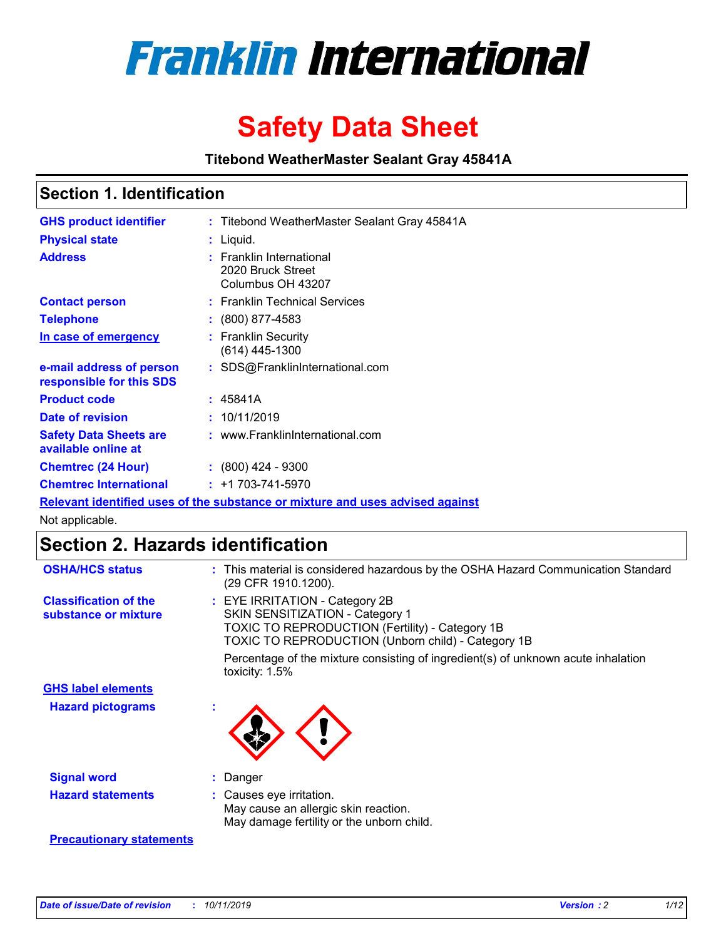

# **Safety Data Sheet**

**Titebond WeatherMaster Sealant Gray 45841A**

### **Section 1. Identification**

| <b>GHS product identifier</b>                        | : Titebond WeatherMaster Sealant Gray 45841A                                  |
|------------------------------------------------------|-------------------------------------------------------------------------------|
| <b>Physical state</b>                                | : Liquid.                                                                     |
| <b>Address</b>                                       | : Franklin International<br>2020 Bruck Street<br>Columbus OH 43207            |
| <b>Contact person</b>                                | : Franklin Technical Services                                                 |
| <b>Telephone</b>                                     | $\colon$ (800) 877-4583                                                       |
| In case of emergency                                 | : Franklin Security<br>(614) 445-1300                                         |
| e-mail address of person<br>responsible for this SDS | : SDS@FranklinInternational.com                                               |
| <b>Product code</b>                                  | : 45841A                                                                      |
| Date of revision                                     | : 10/11/2019                                                                  |
| <b>Safety Data Sheets are</b><br>available online at | : www.FranklinInternational.com                                               |
| <b>Chemtrec (24 Hour)</b>                            | $: (800)$ 424 - 9300                                                          |
| <b>Chemtrec International</b>                        | $: +1703 - 741 - 5970$                                                        |
|                                                      | Relevant identified uses of the substance or mixture and uses advised against |

Not applicable.

## **Section 2. Hazards identification**

| <b>OSHA/HCS status</b>                               | : This material is considered hazardous by the OSHA Hazard Communication Standard<br>(29 CFR 1910.1200).                                                                          |
|------------------------------------------------------|-----------------------------------------------------------------------------------------------------------------------------------------------------------------------------------|
| <b>Classification of the</b><br>substance or mixture | : EYE IRRITATION - Category 2B<br>SKIN SENSITIZATION - Category 1<br><b>TOXIC TO REPRODUCTION (Fertility) - Category 1B</b><br>TOXIC TO REPRODUCTION (Unborn child) - Category 1B |
|                                                      | Percentage of the mixture consisting of ingredient(s) of unknown acute inhalation<br>toxicity: $1.5\%$                                                                            |
| <b>GHS label elements</b>                            |                                                                                                                                                                                   |
| <b>Hazard pictograms</b>                             |                                                                                                                                                                                   |
| <b>Signal word</b>                                   | : Danger                                                                                                                                                                          |
| <b>Hazard statements</b>                             | : Causes eye irritation.<br>May cause an allergic skin reaction.<br>May damage fertility or the unborn child.                                                                     |
| <b>Precautionary statements</b>                      |                                                                                                                                                                                   |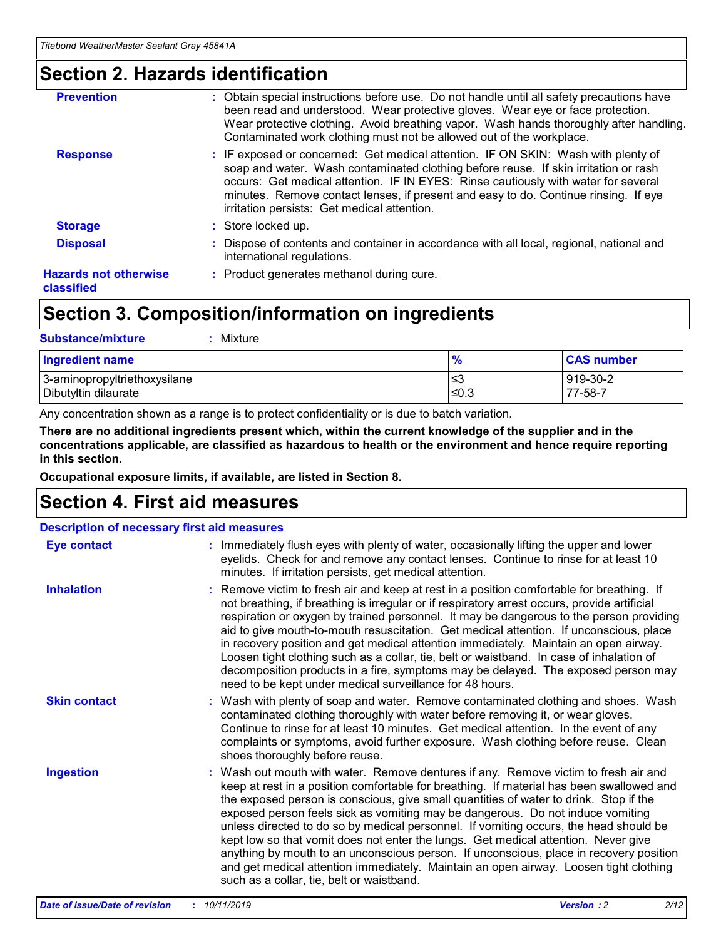### **Section 2. Hazards identification**

| <b>Prevention</b>                          | : Obtain special instructions before use. Do not handle until all safety precautions have<br>been read and understood. Wear protective gloves. Wear eye or face protection.<br>Wear protective clothing. Avoid breathing vapor. Wash hands thoroughly after handling.<br>Contaminated work clothing must not be allowed out of the workplace.                                                        |
|--------------------------------------------|------------------------------------------------------------------------------------------------------------------------------------------------------------------------------------------------------------------------------------------------------------------------------------------------------------------------------------------------------------------------------------------------------|
| <b>Response</b>                            | : IF exposed or concerned: Get medical attention. IF ON SKIN: Wash with plenty of<br>soap and water. Wash contaminated clothing before reuse. If skin irritation or rash<br>occurs: Get medical attention. IF IN EYES: Rinse cautiously with water for several<br>minutes. Remove contact lenses, if present and easy to do. Continue rinsing. If eye<br>irritation persists: Get medical attention. |
| <b>Storage</b>                             | : Store locked up.                                                                                                                                                                                                                                                                                                                                                                                   |
| <b>Disposal</b>                            | : Dispose of contents and container in accordance with all local, regional, national and<br>international regulations.                                                                                                                                                                                                                                                                               |
| <b>Hazards not otherwise</b><br>classified | : Product generates methanol during cure.                                                                                                                                                                                                                                                                                                                                                            |
|                                            |                                                                                                                                                                                                                                                                                                                                                                                                      |

### **Section 3. Composition/information on ingredients**

| <b>Substance/mixture</b><br>: Mixture                |               |                     |
|------------------------------------------------------|---------------|---------------------|
| Ingredient name                                      | $\frac{9}{6}$ | <b>CAS number</b>   |
| 3-aminopropyltriethoxysilane<br>Dibutyltin dilaurate | צ≥<br>≤0.3    | 919-30-2<br>77-58-7 |

Any concentration shown as a range is to protect confidentiality or is due to batch variation.

**There are no additional ingredients present which, within the current knowledge of the supplier and in the concentrations applicable, are classified as hazardous to health or the environment and hence require reporting in this section.**

**Occupational exposure limits, if available, are listed in Section 8.**

### **Section 4. First aid measures**

| <b>Description of necessary first aid measures</b> |                                                                                                                                                                                                                                                                                                                                                                                                                                                                                                                                                                                                                                                                                                                                                                           |  |  |  |
|----------------------------------------------------|---------------------------------------------------------------------------------------------------------------------------------------------------------------------------------------------------------------------------------------------------------------------------------------------------------------------------------------------------------------------------------------------------------------------------------------------------------------------------------------------------------------------------------------------------------------------------------------------------------------------------------------------------------------------------------------------------------------------------------------------------------------------------|--|--|--|
| <b>Eye contact</b>                                 | : Immediately flush eyes with plenty of water, occasionally lifting the upper and lower<br>eyelids. Check for and remove any contact lenses. Continue to rinse for at least 10<br>minutes. If irritation persists, get medical attention.                                                                                                                                                                                                                                                                                                                                                                                                                                                                                                                                 |  |  |  |
| <b>Inhalation</b>                                  | : Remove victim to fresh air and keep at rest in a position comfortable for breathing. If<br>not breathing, if breathing is irregular or if respiratory arrest occurs, provide artificial<br>respiration or oxygen by trained personnel. It may be dangerous to the person providing<br>aid to give mouth-to-mouth resuscitation. Get medical attention. If unconscious, place<br>in recovery position and get medical attention immediately. Maintain an open airway.<br>Loosen tight clothing such as a collar, tie, belt or waistband. In case of inhalation of<br>decomposition products in a fire, symptoms may be delayed. The exposed person may<br>need to be kept under medical surveillance for 48 hours.                                                       |  |  |  |
| <b>Skin contact</b>                                | : Wash with plenty of soap and water. Remove contaminated clothing and shoes. Wash<br>contaminated clothing thoroughly with water before removing it, or wear gloves.<br>Continue to rinse for at least 10 minutes. Get medical attention. In the event of any<br>complaints or symptoms, avoid further exposure. Wash clothing before reuse. Clean<br>shoes thoroughly before reuse.                                                                                                                                                                                                                                                                                                                                                                                     |  |  |  |
| <b>Ingestion</b>                                   | : Wash out mouth with water. Remove dentures if any. Remove victim to fresh air and<br>keep at rest in a position comfortable for breathing. If material has been swallowed and<br>the exposed person is conscious, give small quantities of water to drink. Stop if the<br>exposed person feels sick as vomiting may be dangerous. Do not induce vomiting<br>unless directed to do so by medical personnel. If vomiting occurs, the head should be<br>kept low so that vomit does not enter the lungs. Get medical attention. Never give<br>anything by mouth to an unconscious person. If unconscious, place in recovery position<br>and get medical attention immediately. Maintain an open airway. Loosen tight clothing<br>such as a collar, tie, belt or waistband. |  |  |  |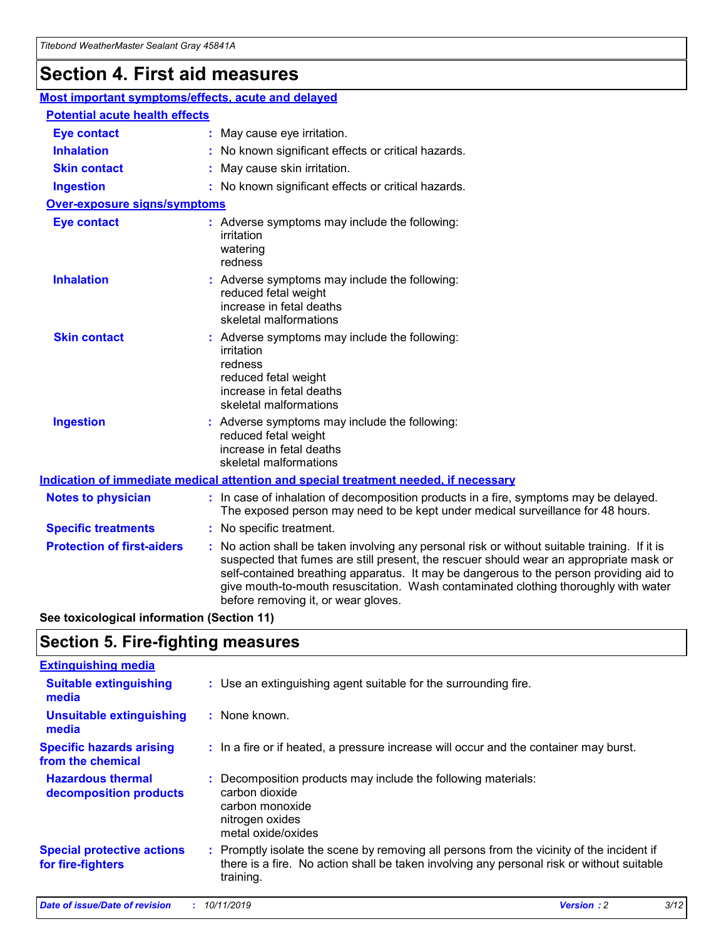## **Section 4. First aid measures**

| Most important symptoms/effects, acute and delayed |  |                                                                                                                                                                                                                                                                                                                                                                                                                 |
|----------------------------------------------------|--|-----------------------------------------------------------------------------------------------------------------------------------------------------------------------------------------------------------------------------------------------------------------------------------------------------------------------------------------------------------------------------------------------------------------|
| <b>Potential acute health effects</b>              |  |                                                                                                                                                                                                                                                                                                                                                                                                                 |
| <b>Eye contact</b>                                 |  | : May cause eye irritation.                                                                                                                                                                                                                                                                                                                                                                                     |
| <b>Inhalation</b>                                  |  | : No known significant effects or critical hazards.                                                                                                                                                                                                                                                                                                                                                             |
| <b>Skin contact</b>                                |  | : May cause skin irritation.                                                                                                                                                                                                                                                                                                                                                                                    |
| <b>Ingestion</b>                                   |  | : No known significant effects or critical hazards.                                                                                                                                                                                                                                                                                                                                                             |
| Over-exposure signs/symptoms                       |  |                                                                                                                                                                                                                                                                                                                                                                                                                 |
| <b>Eye contact</b>                                 |  | : Adverse symptoms may include the following:<br>irritation<br>watering<br>redness                                                                                                                                                                                                                                                                                                                              |
| <b>Inhalation</b>                                  |  | : Adverse symptoms may include the following:<br>reduced fetal weight<br>increase in fetal deaths<br>skeletal malformations                                                                                                                                                                                                                                                                                     |
| <b>Skin contact</b>                                |  | : Adverse symptoms may include the following:<br>irritation<br>redness<br>reduced fetal weight<br>increase in fetal deaths<br>skeletal malformations                                                                                                                                                                                                                                                            |
| <b>Ingestion</b>                                   |  | : Adverse symptoms may include the following:<br>reduced fetal weight<br>increase in fetal deaths<br>skeletal malformations                                                                                                                                                                                                                                                                                     |
|                                                    |  | <b>Indication of immediate medical attention and special treatment needed, if necessary</b>                                                                                                                                                                                                                                                                                                                     |
| <b>Notes to physician</b>                          |  | : In case of inhalation of decomposition products in a fire, symptoms may be delayed.<br>The exposed person may need to be kept under medical surveillance for 48 hours.                                                                                                                                                                                                                                        |
| <b>Specific treatments</b>                         |  | : No specific treatment.                                                                                                                                                                                                                                                                                                                                                                                        |
| <b>Protection of first-aiders</b>                  |  | : No action shall be taken involving any personal risk or without suitable training. If it is<br>suspected that fumes are still present, the rescuer should wear an appropriate mask or<br>self-contained breathing apparatus. It may be dangerous to the person providing aid to<br>give mouth-to-mouth resuscitation. Wash contaminated clothing thoroughly with water<br>before removing it, or wear gloves. |

**See toxicological information (Section 11)**

### **Section 5. Fire-fighting measures**

| <b>Extinguishing media</b>                             |                                                                                                                                                                                                     |
|--------------------------------------------------------|-----------------------------------------------------------------------------------------------------------------------------------------------------------------------------------------------------|
| <b>Suitable extinguishing</b><br>media                 | : Use an extinguishing agent suitable for the surrounding fire.                                                                                                                                     |
| <b>Unsuitable extinguishing</b><br>media               | : None known.                                                                                                                                                                                       |
| <b>Specific hazards arising</b><br>from the chemical   | : In a fire or if heated, a pressure increase will occur and the container may burst.                                                                                                               |
| <b>Hazardous thermal</b><br>decomposition products     | : Decomposition products may include the following materials:<br>carbon dioxide<br>carbon monoxide<br>nitrogen oxides<br>metal oxide/oxides                                                         |
| <b>Special protective actions</b><br>for fire-fighters | : Promptly isolate the scene by removing all persons from the vicinity of the incident if<br>there is a fire. No action shall be taken involving any personal risk or without suitable<br>training. |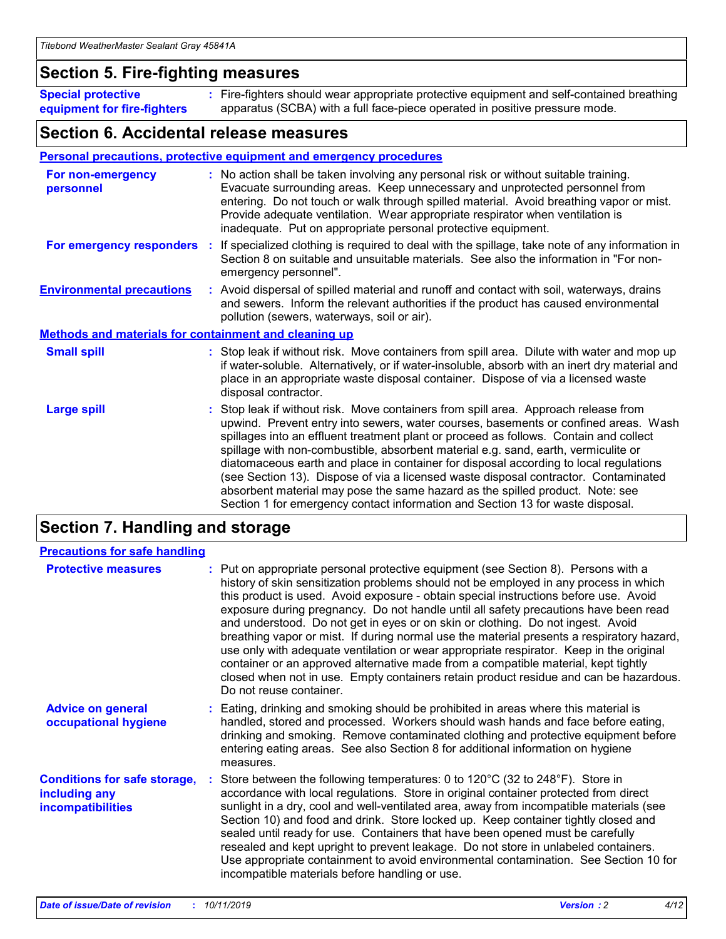### **Section 5. Fire-fighting measures**

**Special protective equipment for fire-fighters** Fire-fighters should wear appropriate protective equipment and self-contained breathing **:** apparatus (SCBA) with a full face-piece operated in positive pressure mode.

### **Section 6. Accidental release measures**

#### **Personal precautions, protective equipment and emergency procedures**

| For non-emergency<br>personnel                               | : No action shall be taken involving any personal risk or without suitable training.<br>Evacuate surrounding areas. Keep unnecessary and unprotected personnel from<br>entering. Do not touch or walk through spilled material. Avoid breathing vapor or mist.<br>Provide adequate ventilation. Wear appropriate respirator when ventilation is<br>inadequate. Put on appropriate personal protective equipment.                                                                                                                                                                                                                                                                                             |
|--------------------------------------------------------------|--------------------------------------------------------------------------------------------------------------------------------------------------------------------------------------------------------------------------------------------------------------------------------------------------------------------------------------------------------------------------------------------------------------------------------------------------------------------------------------------------------------------------------------------------------------------------------------------------------------------------------------------------------------------------------------------------------------|
|                                                              | For emergency responders : If specialized clothing is required to deal with the spillage, take note of any information in<br>Section 8 on suitable and unsuitable materials. See also the information in "For non-<br>emergency personnel".                                                                                                                                                                                                                                                                                                                                                                                                                                                                  |
| <b>Environmental precautions</b>                             | : Avoid dispersal of spilled material and runoff and contact with soil, waterways, drains<br>and sewers. Inform the relevant authorities if the product has caused environmental<br>pollution (sewers, waterways, soil or air).                                                                                                                                                                                                                                                                                                                                                                                                                                                                              |
| <b>Methods and materials for containment and cleaning up</b> |                                                                                                                                                                                                                                                                                                                                                                                                                                                                                                                                                                                                                                                                                                              |
| <b>Small spill</b>                                           | : Stop leak if without risk. Move containers from spill area. Dilute with water and mop up<br>if water-soluble. Alternatively, or if water-insoluble, absorb with an inert dry material and<br>place in an appropriate waste disposal container. Dispose of via a licensed waste<br>disposal contractor.                                                                                                                                                                                                                                                                                                                                                                                                     |
| <b>Large spill</b>                                           | : Stop leak if without risk. Move containers from spill area. Approach release from<br>upwind. Prevent entry into sewers, water courses, basements or confined areas. Wash<br>spillages into an effluent treatment plant or proceed as follows. Contain and collect<br>spillage with non-combustible, absorbent material e.g. sand, earth, vermiculite or<br>diatomaceous earth and place in container for disposal according to local regulations<br>(see Section 13). Dispose of via a licensed waste disposal contractor. Contaminated<br>absorbent material may pose the same hazard as the spilled product. Note: see<br>Section 1 for emergency contact information and Section 13 for waste disposal. |

### **Section 7. Handling and storage**

| <b>Precautions for safe handling</b>                                             |                                                                                                                                                                                                                                                                                                                                                                                                                                                                                                                                                                                                                                                                                                                                                                                                                                                  |
|----------------------------------------------------------------------------------|--------------------------------------------------------------------------------------------------------------------------------------------------------------------------------------------------------------------------------------------------------------------------------------------------------------------------------------------------------------------------------------------------------------------------------------------------------------------------------------------------------------------------------------------------------------------------------------------------------------------------------------------------------------------------------------------------------------------------------------------------------------------------------------------------------------------------------------------------|
| <b>Protective measures</b>                                                       | : Put on appropriate personal protective equipment (see Section 8). Persons with a<br>history of skin sensitization problems should not be employed in any process in which<br>this product is used. Avoid exposure - obtain special instructions before use. Avoid<br>exposure during pregnancy. Do not handle until all safety precautions have been read<br>and understood. Do not get in eyes or on skin or clothing. Do not ingest. Avoid<br>breathing vapor or mist. If during normal use the material presents a respiratory hazard,<br>use only with adequate ventilation or wear appropriate respirator. Keep in the original<br>container or an approved alternative made from a compatible material, kept tightly<br>closed when not in use. Empty containers retain product residue and can be hazardous.<br>Do not reuse container. |
| <b>Advice on general</b><br>occupational hygiene                                 | : Eating, drinking and smoking should be prohibited in areas where this material is<br>handled, stored and processed. Workers should wash hands and face before eating,<br>drinking and smoking. Remove contaminated clothing and protective equipment before<br>entering eating areas. See also Section 8 for additional information on hygiene<br>measures.                                                                                                                                                                                                                                                                                                                                                                                                                                                                                    |
| <b>Conditions for safe storage,</b><br>including any<br><b>incompatibilities</b> | : Store between the following temperatures: 0 to 120 $\degree$ C (32 to 248 $\degree$ F). Store in<br>accordance with local regulations. Store in original container protected from direct<br>sunlight in a dry, cool and well-ventilated area, away from incompatible materials (see<br>Section 10) and food and drink. Store locked up. Keep container tightly closed and<br>sealed until ready for use. Containers that have been opened must be carefully<br>resealed and kept upright to prevent leakage. Do not store in unlabeled containers.<br>Use appropriate containment to avoid environmental contamination. See Section 10 for<br>incompatible materials before handling or use.                                                                                                                                                   |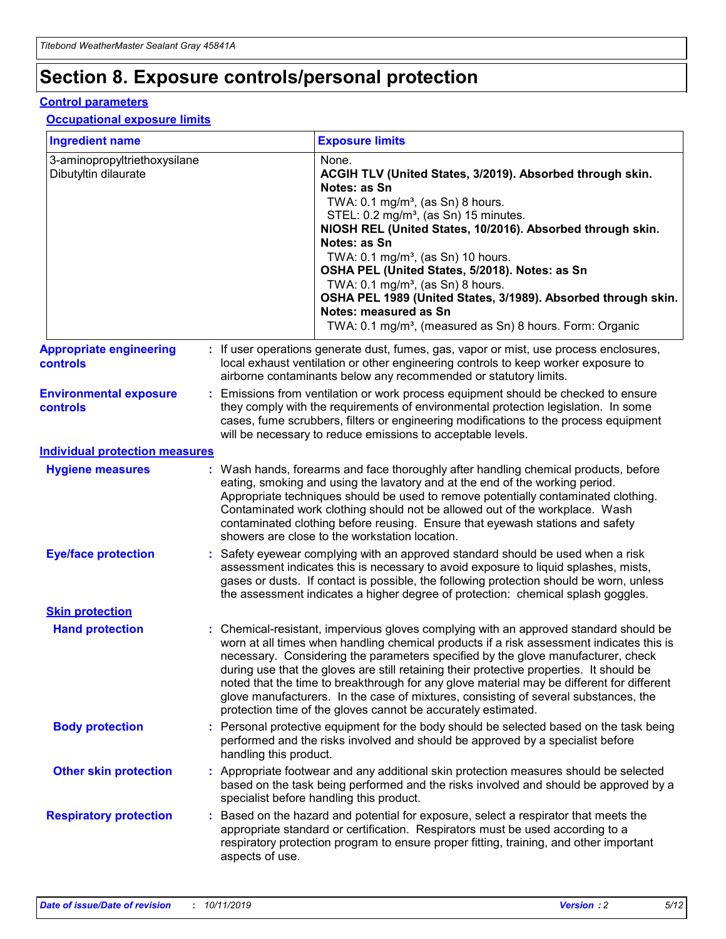## **Section 8. Exposure controls/personal protection**

#### **Control parameters**

#### **Occupational exposure limits**

| <b>Ingredient name</b>                               |    |                                          | <b>Exposure limits</b>                                                                                                                                                                                                                                                                                                                                                                                                                                                                                                                                                                                                 |
|------------------------------------------------------|----|------------------------------------------|------------------------------------------------------------------------------------------------------------------------------------------------------------------------------------------------------------------------------------------------------------------------------------------------------------------------------------------------------------------------------------------------------------------------------------------------------------------------------------------------------------------------------------------------------------------------------------------------------------------------|
| 3-aminopropyltriethoxysilane<br>Dibutyltin dilaurate |    |                                          | None.<br>ACGIH TLV (United States, 3/2019). Absorbed through skin.<br>Notes: as Sn<br>TWA: 0.1 mg/m <sup>3</sup> , (as Sn) 8 hours.<br>STEL: 0.2 mg/m <sup>3</sup> , (as Sn) 15 minutes.<br>NIOSH REL (United States, 10/2016). Absorbed through skin.<br>Notes: as Sn<br>TWA: 0.1 mg/m <sup>3</sup> , (as Sn) 10 hours.<br>OSHA PEL (United States, 5/2018). Notes: as Sn<br>TWA: $0.1 \text{ mg/m}^3$ , (as Sn) 8 hours.<br>OSHA PEL 1989 (United States, 3/1989). Absorbed through skin.<br>Notes: measured as Sn<br>TWA: 0.1 mg/m <sup>3</sup> , (measured as Sn) 8 hours. Form: Organic                           |
| <b>Appropriate engineering</b><br>controls           |    |                                          | : If user operations generate dust, fumes, gas, vapor or mist, use process enclosures,<br>local exhaust ventilation or other engineering controls to keep worker exposure to<br>airborne contaminants below any recommended or statutory limits.                                                                                                                                                                                                                                                                                                                                                                       |
| <b>Environmental exposure</b><br><b>controls</b>     |    |                                          | Emissions from ventilation or work process equipment should be checked to ensure<br>they comply with the requirements of environmental protection legislation. In some<br>cases, fume scrubbers, filters or engineering modifications to the process equipment<br>will be necessary to reduce emissions to acceptable levels.                                                                                                                                                                                                                                                                                          |
| <b>Individual protection measures</b>                |    |                                          |                                                                                                                                                                                                                                                                                                                                                                                                                                                                                                                                                                                                                        |
| <b>Hygiene measures</b>                              |    |                                          | : Wash hands, forearms and face thoroughly after handling chemical products, before<br>eating, smoking and using the lavatory and at the end of the working period.<br>Appropriate techniques should be used to remove potentially contaminated clothing.<br>Contaminated work clothing should not be allowed out of the workplace. Wash<br>contaminated clothing before reusing. Ensure that eyewash stations and safety<br>showers are close to the workstation location.                                                                                                                                            |
| <b>Eye/face protection</b>                           |    |                                          | : Safety eyewear complying with an approved standard should be used when a risk<br>assessment indicates this is necessary to avoid exposure to liquid splashes, mists,<br>gases or dusts. If contact is possible, the following protection should be worn, unless<br>the assessment indicates a higher degree of protection: chemical splash goggles.                                                                                                                                                                                                                                                                  |
| <b>Skin protection</b>                               |    |                                          |                                                                                                                                                                                                                                                                                                                                                                                                                                                                                                                                                                                                                        |
| <b>Hand protection</b>                               |    |                                          | : Chemical-resistant, impervious gloves complying with an approved standard should be<br>worn at all times when handling chemical products if a risk assessment indicates this is<br>necessary. Considering the parameters specified by the glove manufacturer, check<br>during use that the gloves are still retaining their protective properties. It should be<br>noted that the time to breakthrough for any glove material may be different for different<br>glove manufacturers. In the case of mixtures, consisting of several substances, the<br>protection time of the gloves cannot be accurately estimated. |
| <b>Body protection</b>                               |    | handling this product.                   | Personal protective equipment for the body should be selected based on the task being<br>performed and the risks involved and should be approved by a specialist before                                                                                                                                                                                                                                                                                                                                                                                                                                                |
| <b>Other skin protection</b>                         |    | specialist before handling this product. | : Appropriate footwear and any additional skin protection measures should be selected<br>based on the task being performed and the risks involved and should be approved by a                                                                                                                                                                                                                                                                                                                                                                                                                                          |
| <b>Respiratory protection</b>                        | ÷. | aspects of use.                          | Based on the hazard and potential for exposure, select a respirator that meets the<br>appropriate standard or certification. Respirators must be used according to a<br>respiratory protection program to ensure proper fitting, training, and other important                                                                                                                                                                                                                                                                                                                                                         |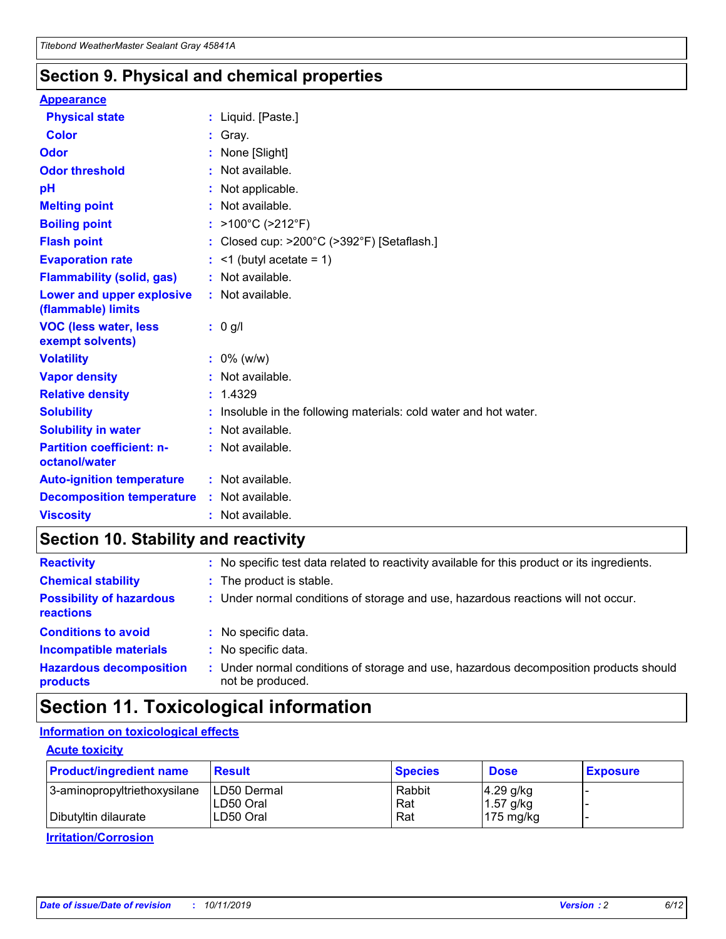### **Section 9. Physical and chemical properties**

#### **Appearance**

| <b>Physical state</b>                             | : Liquid. [Paste.]                                              |
|---------------------------------------------------|-----------------------------------------------------------------|
| <b>Color</b>                                      | Gray.                                                           |
| Odor                                              | None [Slight]                                                   |
| <b>Odor threshold</b>                             | $:$ Not available.                                              |
| рH                                                | : Not applicable.                                               |
| <b>Melting point</b>                              | : Not available.                                                |
| <b>Boiling point</b>                              | : >100°C (>212°F)                                               |
| <b>Flash point</b>                                | : Closed cup: $>200^{\circ}$ C ( $>392^{\circ}$ F) [Setaflash.] |
| <b>Evaporation rate</b>                           | $:$ <1 (butyl acetate = 1)                                      |
| <b>Flammability (solid, gas)</b>                  | : Not available.                                                |
| Lower and upper explosive<br>(flammable) limits   | : Not available.                                                |
| <b>VOC (less water, less</b><br>exempt solvents)  | : 0 g/l                                                         |
|                                                   |                                                                 |
| <b>Volatility</b>                                 | $: 0\%$ (w/w)                                                   |
| <b>Vapor density</b>                              | : Not available.                                                |
| <b>Relative density</b>                           | : 1.4329                                                        |
| <b>Solubility</b>                                 | Insoluble in the following materials: cold water and hot water. |
| <b>Solubility in water</b>                        | : Not available.                                                |
| <b>Partition coefficient: n-</b><br>octanol/water | $:$ Not available.                                              |
| <b>Auto-ignition temperature</b>                  | : Not available.                                                |
| <b>Decomposition temperature</b>                  | : Not available.                                                |

### **Section 10. Stability and reactivity**

| <b>Reactivity</b>                            |    | : No specific test data related to reactivity available for this product or its ingredients.            |
|----------------------------------------------|----|---------------------------------------------------------------------------------------------------------|
| <b>Chemical stability</b>                    |    | : The product is stable.                                                                                |
| <b>Possibility of hazardous</b><br>reactions |    | : Under normal conditions of storage and use, hazardous reactions will not occur.                       |
| <b>Conditions to avoid</b>                   |    | : No specific data.                                                                                     |
| <b>Incompatible materials</b>                | ٠. | No specific data.                                                                                       |
| <b>Hazardous decomposition</b><br>products   | ÷. | Under normal conditions of storage and use, hazardous decomposition products should<br>not be produced. |

### **Section 11. Toxicological information**

### **Information on toxicological effects**

#### **Acute toxicity**

| <b>Product/ingredient name</b> | <b>Result</b>           | <b>Species</b> | <b>Dose</b>                | <b>Exposure</b> |
|--------------------------------|-------------------------|----------------|----------------------------|-----------------|
| 3-aminopropyltriethoxysilane   | <b>ILD50 Dermal</b>     | Rabbit         | 4.29 g/kg                  |                 |
| Dibutyltin dilaurate           | ILD50 Oral<br>LD50 Oral | Rat<br>Rat     | $1.57$ g/kg<br>175 $mg/kg$ |                 |
|                                |                         |                |                            |                 |

**Irritation/Corrosion**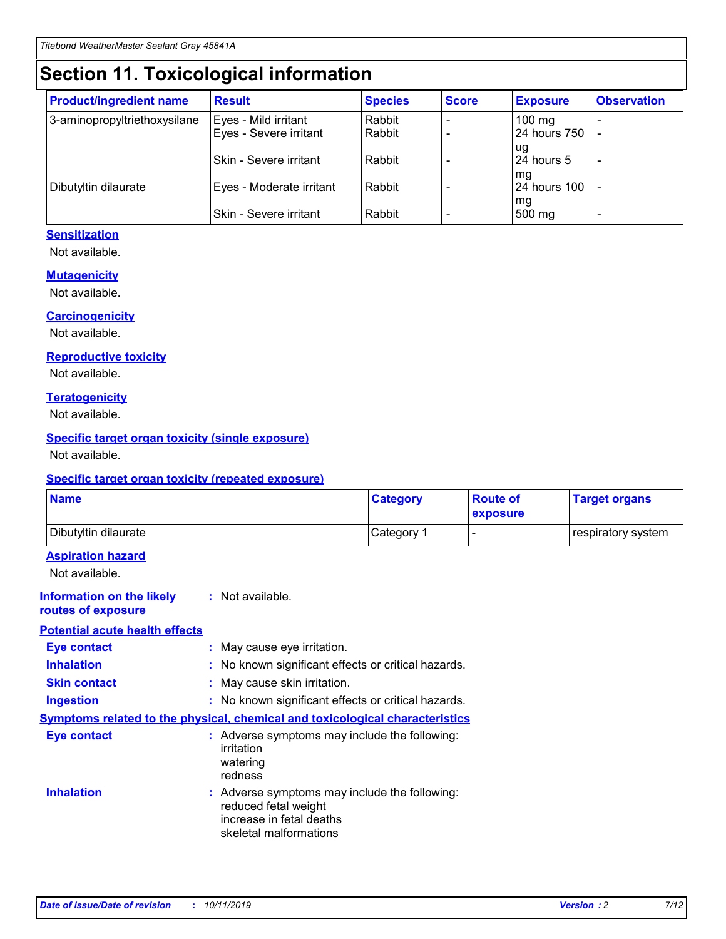## **Section 11. Toxicological information**

| <b>Product/ingredient name</b> | <b>Result</b>            | <b>Species</b> | <b>Score</b> | <b>Exposure</b>           | <b>Observation</b> |
|--------------------------------|--------------------------|----------------|--------------|---------------------------|--------------------|
| 3-aminopropyltriethoxysilane   | Eyes - Mild irritant     | Rabbit         |              | $100$ mg                  |                    |
|                                | Eyes - Severe irritant   | Rabbit         |              | 24 hours 750              |                    |
|                                |                          |                |              | ug                        |                    |
|                                | Skin - Severe irritant   | Rabbit         |              | 24 hours 5                | -                  |
| Dibutyltin dilaurate           | Eyes - Moderate irritant | Rabbit         |              | mg<br><b>24 hours 100</b> |                    |
|                                |                          |                |              | mg                        |                    |
|                                | Skin - Severe irritant   | Rabbit         |              | 500 mg                    | -                  |

#### **Sensitization**

Not available.

#### **Mutagenicity**

Not available.

#### **Carcinogenicity**

Not available.

#### **Reproductive toxicity**

Not available.

#### **Teratogenicity**

Not available.

#### **Specific target organ toxicity (single exposure)**

Not available.

#### **Specific target organ toxicity (repeated exposure)**

| <b>Name</b>                                                                         |                                                                            | <b>Category</b>                                     | <b>Route of</b><br>exposure | <b>Target organs</b> |
|-------------------------------------------------------------------------------------|----------------------------------------------------------------------------|-----------------------------------------------------|-----------------------------|----------------------|
| Dibutyltin dilaurate                                                                |                                                                            | Category 1                                          |                             | respiratory system   |
| <b>Aspiration hazard</b><br>Not available.                                          |                                                                            |                                                     |                             |                      |
| <b>Information on the likely</b><br>routes of exposure                              | : Not available.                                                           |                                                     |                             |                      |
| <b>Potential acute health effects</b>                                               |                                                                            |                                                     |                             |                      |
| <b>Eye contact</b>                                                                  | : May cause eye irritation.                                                |                                                     |                             |                      |
| <b>Inhalation</b>                                                                   |                                                                            | : No known significant effects or critical hazards. |                             |                      |
| <b>Skin contact</b>                                                                 | : May cause skin irritation.                                               |                                                     |                             |                      |
| <b>Ingestion</b>                                                                    |                                                                            | : No known significant effects or critical hazards. |                             |                      |
| <b>Symptoms related to the physical, chemical and toxicological characteristics</b> |                                                                            |                                                     |                             |                      |
| <b>Eye contact</b>                                                                  | irritation<br>watering<br>redness                                          | : Adverse symptoms may include the following:       |                             |                      |
| <b>Inhalation</b>                                                                   | reduced fetal weight<br>increase in fetal deaths<br>skeletal malformations | : Adverse symptoms may include the following:       |                             |                      |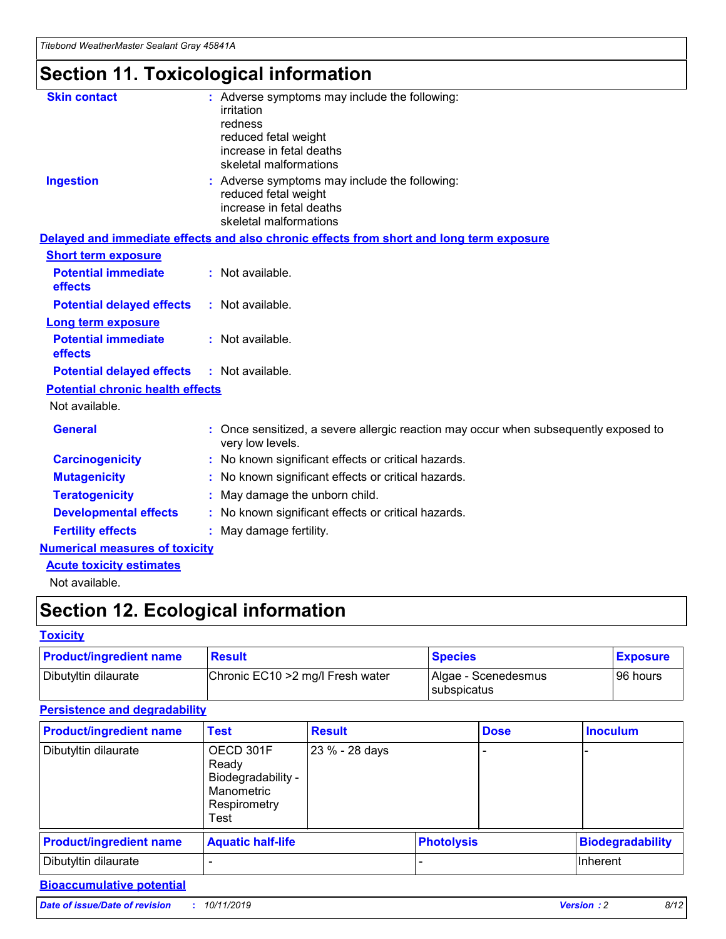## **Section 11. Toxicological information**

| <b>Skin contact</b>                     |                                                                                                          |
|-----------------------------------------|----------------------------------------------------------------------------------------------------------|
|                                         | : Adverse symptoms may include the following:<br>irritation                                              |
|                                         | redness                                                                                                  |
|                                         | reduced fetal weight                                                                                     |
|                                         | increase in fetal deaths                                                                                 |
|                                         | skeletal malformations                                                                                   |
| <b>Ingestion</b>                        | : Adverse symptoms may include the following:                                                            |
|                                         | reduced fetal weight                                                                                     |
|                                         | increase in fetal deaths                                                                                 |
|                                         | skeletal malformations                                                                                   |
|                                         | Delayed and immediate effects and also chronic effects from short and long term exposure                 |
| <b>Short term exposure</b>              |                                                                                                          |
| <b>Potential immediate</b>              | : Not available.                                                                                         |
| effects                                 |                                                                                                          |
| <b>Potential delayed effects</b>        | : Not available.                                                                                         |
| <b>Long term exposure</b>               |                                                                                                          |
| <b>Potential immediate</b>              | : Not available.                                                                                         |
| effects                                 |                                                                                                          |
| <b>Potential delayed effects</b>        | : Not available.                                                                                         |
| <b>Potential chronic health effects</b> |                                                                                                          |
| Not available.                          |                                                                                                          |
| <b>General</b>                          | : Once sensitized, a severe allergic reaction may occur when subsequently exposed to<br>very low levels. |
| <b>Carcinogenicity</b>                  | : No known significant effects or critical hazards.                                                      |
| <b>Mutagenicity</b>                     | No known significant effects or critical hazards.                                                        |
| <b>Teratogenicity</b>                   | May damage the unborn child.                                                                             |
| <b>Developmental effects</b>            | No known significant effects or critical hazards.                                                        |
| <b>Fertility effects</b>                | : May damage fertility.                                                                                  |
| <b>Numerical measures of toxicity</b>   |                                                                                                          |
| <b>Acute toxicity estimates</b>         |                                                                                                          |
|                                         |                                                                                                          |

Not available.

## **Section 12. Ecological information**

#### **Toxicity**

| <b>Product/ingredient name</b> | <b>Result</b>                     | <b>Species</b>                       | <b>Exposure</b> |
|--------------------------------|-----------------------------------|--------------------------------------|-----------------|
| Dibutyltin dilaurate           | Chronic EC10 > 2 mg/l Fresh water | Algae - Scenedesmus<br>I subspicatus | l 96 hours i    |

### **Persistence and degradability**

| <b>Product/ingredient name</b> | <b>Test</b>                                                                    | <b>Result</b>  |                   | <b>Dose</b> | <b>Inoculum</b>         |
|--------------------------------|--------------------------------------------------------------------------------|----------------|-------------------|-------------|-------------------------|
| Dibutyltin dilaurate           | OECD 301F<br>Ready<br>Biodegradability -<br>Manometric<br>Respirometry<br>Test | 23 % - 28 days |                   |             |                         |
| <b>Product/ingredient name</b> | <b>Aquatic half-life</b>                                                       |                | <b>Photolysis</b> |             | <b>Biodegradability</b> |
| Dibutyltin dilaurate           |                                                                                |                |                   |             | Inherent                |

### **Bioaccumulative potential**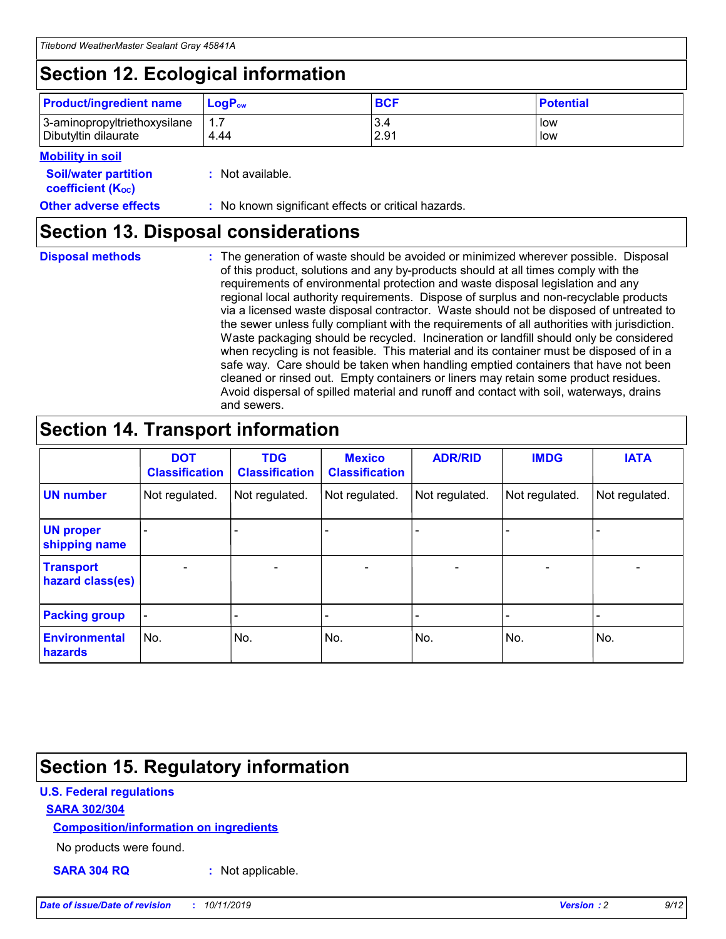## **Section 12. Ecological information**

| <b>Product/ingredient name</b> | $LoaPow$ | <b>BCF</b> | <b>Potential</b> |
|--------------------------------|----------|------------|------------------|
| 3-aminopropyltriethoxysilane   | 1.7      | 3.4        | low              |
| Dibutyltin dilaurate           | 4.44     | 2.91       | low              |

#### **Mobility in soil**

| <b>Soil/water partition</b><br>coefficient (K <sub>oc</sub> ) | : Not available.                                    |
|---------------------------------------------------------------|-----------------------------------------------------|
| <b>Other adverse effects</b>                                  | : No known significant effects or critical hazards. |

### **Section 13. Disposal considerations**

**Disposal methods :**

The generation of waste should be avoided or minimized wherever possible. Disposal of this product, solutions and any by-products should at all times comply with the requirements of environmental protection and waste disposal legislation and any regional local authority requirements. Dispose of surplus and non-recyclable products via a licensed waste disposal contractor. Waste should not be disposed of untreated to the sewer unless fully compliant with the requirements of all authorities with jurisdiction. Waste packaging should be recycled. Incineration or landfill should only be considered when recycling is not feasible. This material and its container must be disposed of in a safe way. Care should be taken when handling emptied containers that have not been cleaned or rinsed out. Empty containers or liners may retain some product residues. Avoid dispersal of spilled material and runoff and contact with soil, waterways, drains and sewers.

## **Section 14. Transport information**

|                                      | <b>DOT</b><br><b>Classification</b> | <b>TDG</b><br><b>Classification</b> | <b>Mexico</b><br><b>Classification</b> | <b>ADR/RID</b>           | <b>IMDG</b>     | <b>IATA</b>              |
|--------------------------------------|-------------------------------------|-------------------------------------|----------------------------------------|--------------------------|-----------------|--------------------------|
| <b>UN number</b>                     | Not regulated.                      | Not regulated.                      | Not regulated.                         | Not regulated.           | Not regulated.  | Not regulated.           |
| <b>UN proper</b><br>shipping name    | $\qquad \qquad \blacksquare$        |                                     |                                        |                          |                 |                          |
| <b>Transport</b><br>hazard class(es) | $\overline{\phantom{0}}$            | $\qquad \qquad$                     | $\qquad \qquad$                        | $\overline{\phantom{a}}$ | $\qquad \qquad$ | $\overline{\phantom{0}}$ |
| <b>Packing group</b>                 | $\overline{\phantom{a}}$            | -                                   |                                        |                          |                 |                          |
| <b>Environmental</b><br>hazards      | No.                                 | No.                                 | No.                                    | No.                      | No.             | No.                      |

## **Section 15. Regulatory information**

#### **U.S. Federal regulations**

#### **SARA 302/304**

#### **Composition/information on ingredients**

No products were found.

**SARA 304 RQ :** Not applicable.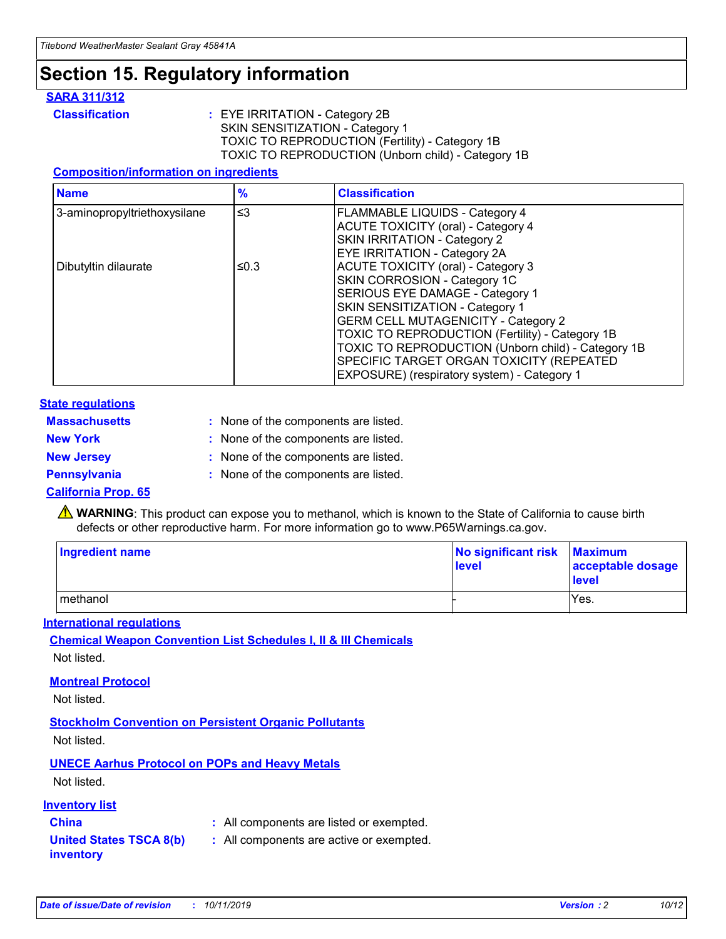## **Section 15. Regulatory information**

#### **SARA 311/312**

**Classification :** EYE IRRITATION - Category 2B SKIN SENSITIZATION - Category 1 TOXIC TO REPRODUCTION (Fertility) - Category 1B TOXIC TO REPRODUCTION (Unborn child) - Category 1B

#### **Composition/information on ingredients**

| <b>Name</b>                  | $\frac{9}{6}$ | <b>Classification</b>                                                                                            |
|------------------------------|---------------|------------------------------------------------------------------------------------------------------------------|
| 3-aminopropyltriethoxysilane | $\leq$ 3      | <b>FLAMMABLE LIQUIDS - Category 4</b><br><b>ACUTE TOXICITY (oral) - Category 4</b>                               |
|                              |               | SKIN IRRITATION - Category 2<br>EYE IRRITATION - Category 2A                                                     |
| Dibutyltin dilaurate         | ≤0.3          | ACUTE TOXICITY (oral) - Category 3<br>SKIN CORROSION - Category 1C                                               |
|                              |               | SERIOUS EYE DAMAGE - Category 1<br>SKIN SENSITIZATION - Category 1<br><b>GERM CELL MUTAGENICITY - Category 2</b> |
|                              |               | TOXIC TO REPRODUCTION (Fertility) - Category 1B<br>TOXIC TO REPRODUCTION (Unborn child) - Category 1B            |
|                              |               | SPECIFIC TARGET ORGAN TOXICITY (REPEATED<br>EXPOSURE) (respiratory system) - Category 1                          |

#### **State regulations**

| <b>Massachusetts</b> | : None of the components are listed. |
|----------------------|--------------------------------------|
| <b>New York</b>      | : None of the components are listed. |
| <b>New Jersey</b>    | : None of the components are listed. |
| <b>Pennsylvania</b>  | : None of the components are listed. |

#### **California Prop. 65**

**A** WARNING: This product can expose you to methanol, which is known to the State of California to cause birth defects or other reproductive harm. For more information go to www.P65Warnings.ca.gov.

| <b>Ingredient name</b> | No significant risk Maximum<br>level | acceptable dosage<br>level |
|------------------------|--------------------------------------|----------------------------|
| methanol               |                                      | Yes.                       |

#### **International regulations**

**Chemical Weapon Convention List Schedules I, II & III Chemicals** Not listed.

#### **Montreal Protocol**

Not listed.

#### **Stockholm Convention on Persistent Organic Pollutants**

Not listed.

### **UNECE Aarhus Protocol on POPs and Heavy Metals**

Not listed.

#### **Inventory list**

### **China :** All components are listed or exempted.

**United States TSCA 8(b) inventory :** All components are active or exempted.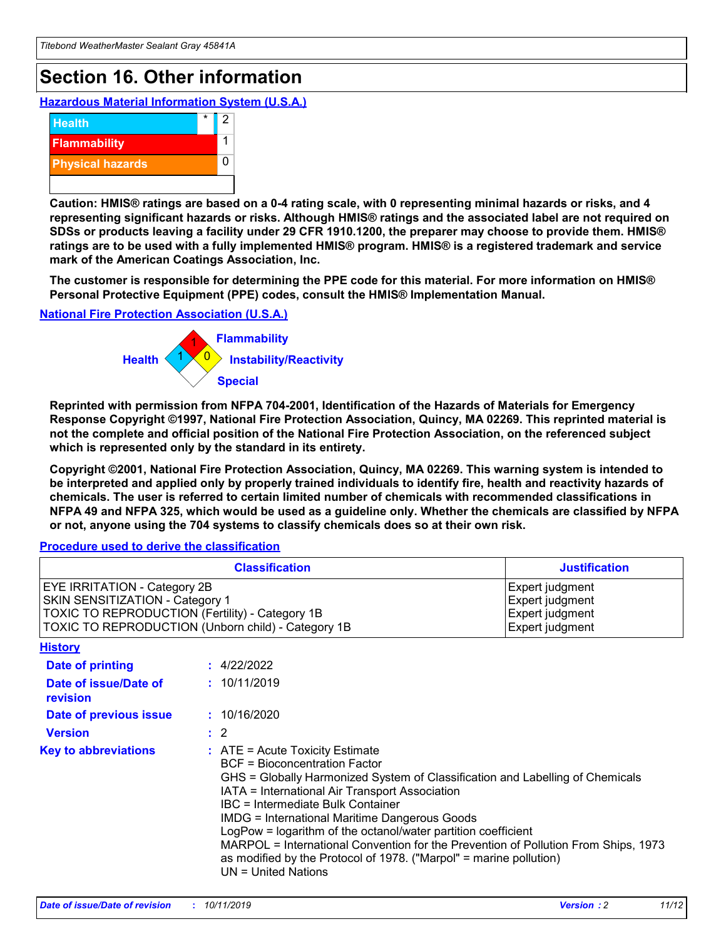## **Section 16. Other information**

**Hazardous Material Information System (U.S.A.)**



**Caution: HMIS® ratings are based on a 0-4 rating scale, with 0 representing minimal hazards or risks, and 4 representing significant hazards or risks. Although HMIS® ratings and the associated label are not required on SDSs or products leaving a facility under 29 CFR 1910.1200, the preparer may choose to provide them. HMIS® ratings are to be used with a fully implemented HMIS® program. HMIS® is a registered trademark and service mark of the American Coatings Association, Inc.**

**The customer is responsible for determining the PPE code for this material. For more information on HMIS® Personal Protective Equipment (PPE) codes, consult the HMIS® Implementation Manual.**

#### **National Fire Protection Association (U.S.A.)**



**Reprinted with permission from NFPA 704-2001, Identification of the Hazards of Materials for Emergency Response Copyright ©1997, National Fire Protection Association, Quincy, MA 02269. This reprinted material is not the complete and official position of the National Fire Protection Association, on the referenced subject which is represented only by the standard in its entirety.**

**Copyright ©2001, National Fire Protection Association, Quincy, MA 02269. This warning system is intended to be interpreted and applied only by properly trained individuals to identify fire, health and reactivity hazards of chemicals. The user is referred to certain limited number of chemicals with recommended classifications in NFPA 49 and NFPA 325, which would be used as a guideline only. Whether the chemicals are classified by NFPA or not, anyone using the 704 systems to classify chemicals does so at their own risk.**

#### **Procedure used to derive the classification**

| <b>Classification</b>                                                                                                                                                                  |                                                                                                                                                                                                                                                                   | <b>Justification</b>                                                                                                                                                                                                                                                                                       |  |
|----------------------------------------------------------------------------------------------------------------------------------------------------------------------------------------|-------------------------------------------------------------------------------------------------------------------------------------------------------------------------------------------------------------------------------------------------------------------|------------------------------------------------------------------------------------------------------------------------------------------------------------------------------------------------------------------------------------------------------------------------------------------------------------|--|
| <b>EYE IRRITATION - Category 2B</b><br>SKIN SENSITIZATION - Category 1<br><b>TOXIC TO REPRODUCTION (Fertility) - Category 1B</b><br>TOXIC TO REPRODUCTION (Unborn child) - Category 1B |                                                                                                                                                                                                                                                                   | Expert judgment<br>Expert judgment<br>Expert judgment<br>Expert judgment                                                                                                                                                                                                                                   |  |
| <b>History</b>                                                                                                                                                                         |                                                                                                                                                                                                                                                                   |                                                                                                                                                                                                                                                                                                            |  |
| <b>Date of printing</b>                                                                                                                                                                | : 4/22/2022                                                                                                                                                                                                                                                       |                                                                                                                                                                                                                                                                                                            |  |
| Date of issue/Date of<br>revision                                                                                                                                                      | : 10/11/2019                                                                                                                                                                                                                                                      |                                                                                                                                                                                                                                                                                                            |  |
| Date of previous issue                                                                                                                                                                 | : 10/16/2020                                                                                                                                                                                                                                                      |                                                                                                                                                                                                                                                                                                            |  |
| <b>Version</b>                                                                                                                                                                         | $\therefore$ 2                                                                                                                                                                                                                                                    |                                                                                                                                                                                                                                                                                                            |  |
| <b>Key to abbreviations</b>                                                                                                                                                            | $\therefore$ ATE = Acute Toxicity Estimate<br><b>BCF</b> = Bioconcentration Factor<br>IATA = International Air Transport Association<br><b>IBC</b> = Intermediate Bulk Container<br><b>IMDG = International Maritime Dangerous Goods</b><br>$UN = United Nations$ | GHS = Globally Harmonized System of Classification and Labelling of Chemicals<br>LogPow = logarithm of the octanol/water partition coefficient<br>MARPOL = International Convention for the Prevention of Pollution From Ships, 1973<br>as modified by the Protocol of 1978. ("Marpol" = marine pollution) |  |